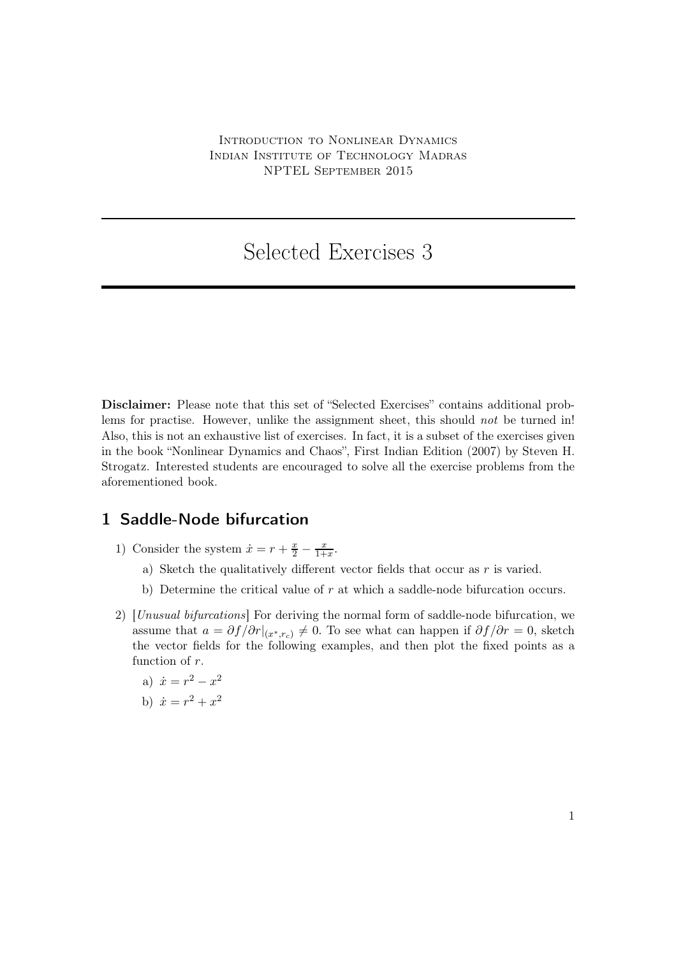# Selected Exercises 3

Disclaimer: Please note that this set of "Selected Exercises" contains additional problems for practise. However, unlike the assignment sheet, this should *not* be turned in! Also, this is not an exhaustive list of exercises. In fact, it is a subset of the exercises given in the book "Nonlinear Dynamics and Chaos", First Indian Edition (2007) by Steven H. Strogatz. Interested students are encouraged to solve all the exercise problems from the aforementioned book.

### 1 Saddle-Node bifurcation

- 1) Consider the system  $\dot{x} = r + \frac{x}{2} \frac{x}{1+x}$ .
	- a) Sketch the qualitatively different vector fields that occur as  $r$  is varied.
	- b) Determine the critical value of  $r$  at which a saddle-node bifurcation occurs.
- 2) [Unusual bifurcations] For deriving the normal form of saddle-node bifurcation, we assume that  $a = \partial f / \partial r |_{(x^*,r_c)} \neq 0$ . To see what can happen if  $\partial f / \partial r = 0$ , sketch the vector fields for the following examples, and then plot the fixed points as a function of r.
	- a)  $\dot{x} = r^2 x^2$
	- b)  $\dot{x} = r^2 + x^2$